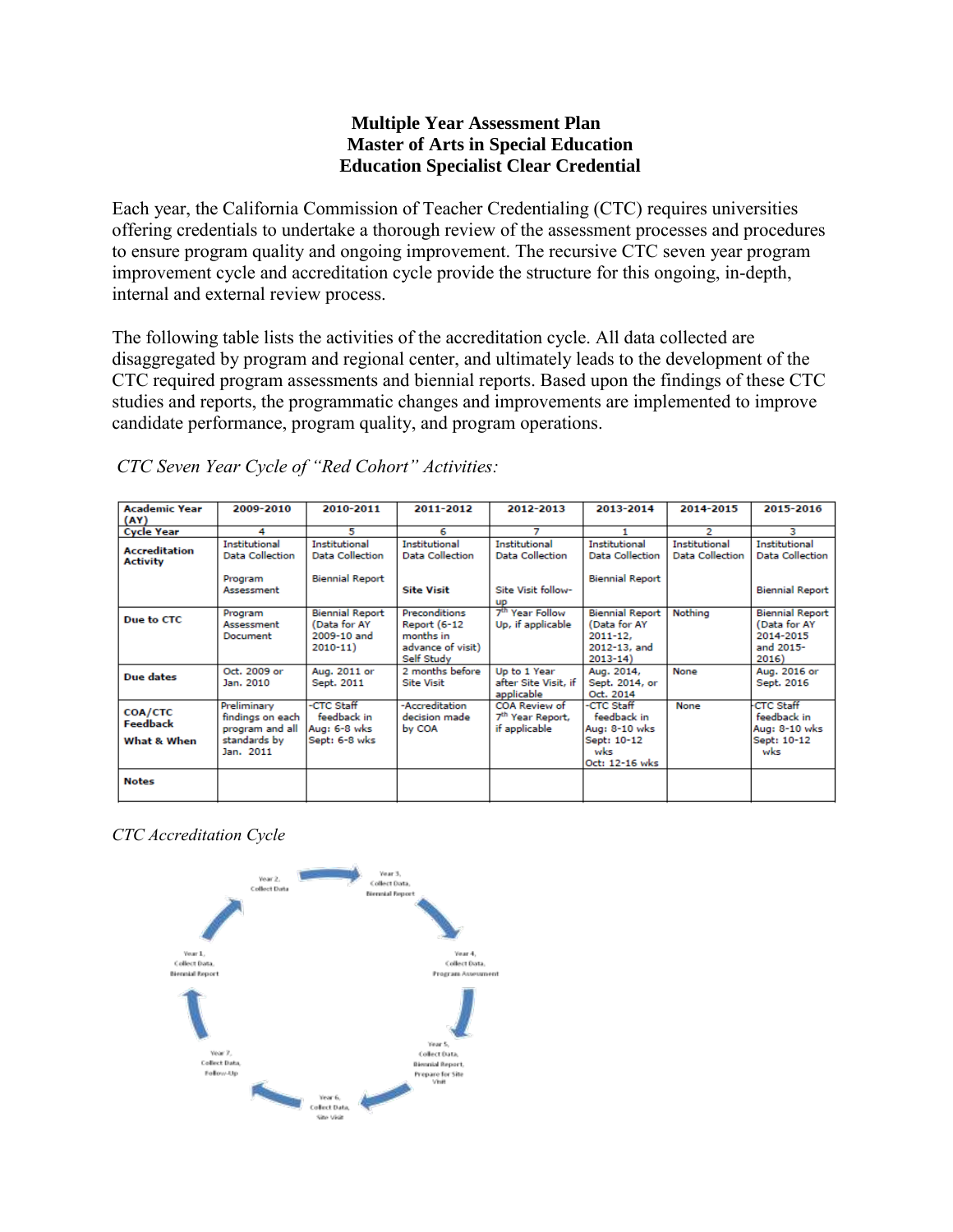#### **Multiple Year Assessment Plan Master of Arts in Special Education Education Specialist Clear Credential**

Each year, the California Commission of Teacher Credentialing (CTC) requires universities offering credentials to undertake a thorough review of the assessment processes and procedures to ensure program quality and ongoing improvement. The recursive CTC seven year program improvement cycle and accreditation cycle provide the structure for this ongoing, in-depth, internal and external review process.

The following table lists the activities of the accreditation cycle. All data collected are disaggregated by program and regional center, and ultimately leads to the development of the CTC required program assessments and biennial reports. Based upon the findings of these CTC studies and reports, the programmatic changes and improvements are implemented to improve candidate performance, program quality, and program operations.

| <b>Academic Year</b>                      | 2009-2010                                                                       | 2010-2011                                                            | 2011-2012                                                                                   | 2012-2013                                                      | 2013-2014                                                                             | 2014-2015                               | 2015-2016                                                                 |
|-------------------------------------------|---------------------------------------------------------------------------------|----------------------------------------------------------------------|---------------------------------------------------------------------------------------------|----------------------------------------------------------------|---------------------------------------------------------------------------------------|-----------------------------------------|---------------------------------------------------------------------------|
| (AY)                                      |                                                                                 |                                                                      |                                                                                             |                                                                |                                                                                       |                                         |                                                                           |
| <b>Cycle Year</b>                         | 4                                                                               | 5                                                                    | 6                                                                                           | 7                                                              |                                                                                       | 2                                       | з                                                                         |
| <b>Accreditation</b><br><b>Activity</b>   | <b>Institutional</b><br><b>Data Collection</b>                                  | Institutional<br><b>Data Collection</b>                              | Institutional<br><b>Data Collection</b>                                                     | Institutional<br><b>Data Collection</b>                        | Institutional<br><b>Data Collection</b>                                               | Institutional<br><b>Data Collection</b> | Institutional<br><b>Data Collection</b>                                   |
|                                           | Program<br>Assessment                                                           | <b>Biennial Report</b>                                               | <b>Site Visit</b>                                                                           | Site Visit follow-<br><b>up</b>                                | <b>Biennial Report</b>                                                                |                                         | <b>Biennial Report</b>                                                    |
| Due to CTC                                | Program<br>Assessment<br>Document                                               | <b>Biennial Report</b><br>(Data for AY<br>2009-10 and<br>$2010 - 11$ | <b>Preconditions</b><br><b>Report (6-12</b><br>months in<br>advance of visit)<br>Self Study | 7 <sup>th</sup> Year Follow<br>Up, if applicable               | <b>Biennial Report</b><br>(Data for AY<br>$2011 - 12.$<br>2012-13, and<br>$2013 - 14$ | Nothing                                 | <b>Biennial Report</b><br>(Data for AY<br>2014-2015<br>and 2015-<br>2016) |
| <b>Due dates</b>                          | Oct. 2009 or<br>Jan. 2010                                                       | Aug. 2011 or<br>Sept. 2011                                           | 2 months before<br><b>Site Visit</b>                                                        | Up to 1 Year<br>after Site Visit, if<br>applicable             | Aug. 2014,<br>Sept. 2014, or<br>Oct. 2014                                             | None                                    | Aug. 2016 or<br>Sept. 2016                                                |
| <b>COA/CTC</b><br>Feedback<br>What & When | Preliminary<br>findings on each<br>program and all<br>standards by<br>Jan. 2011 | -CTC Staff<br>feedback in<br>Aug: 6-8 wks<br>Sept: 6-8 wks           | -Accreditation<br>decision made<br>by COA                                                   | COA Review of<br>7 <sup>th</sup> Year Report,<br>if applicable | -CTC Staff<br>feedback in<br>Aug: 8-10 wks<br>Sept: 10-12<br>wks<br>Oct: 12-16 wks    | None                                    | <b>CTC Staff</b><br>feedback in<br>Aug: 8-10 wks<br>Sept: 10-12<br>wks    |
| <b>Notes</b>                              |                                                                                 |                                                                      |                                                                                             |                                                                |                                                                                       |                                         |                                                                           |

*CTC Seven Year Cycle of "Red Cohort" Activities:*

*CTC Accreditation Cycle*

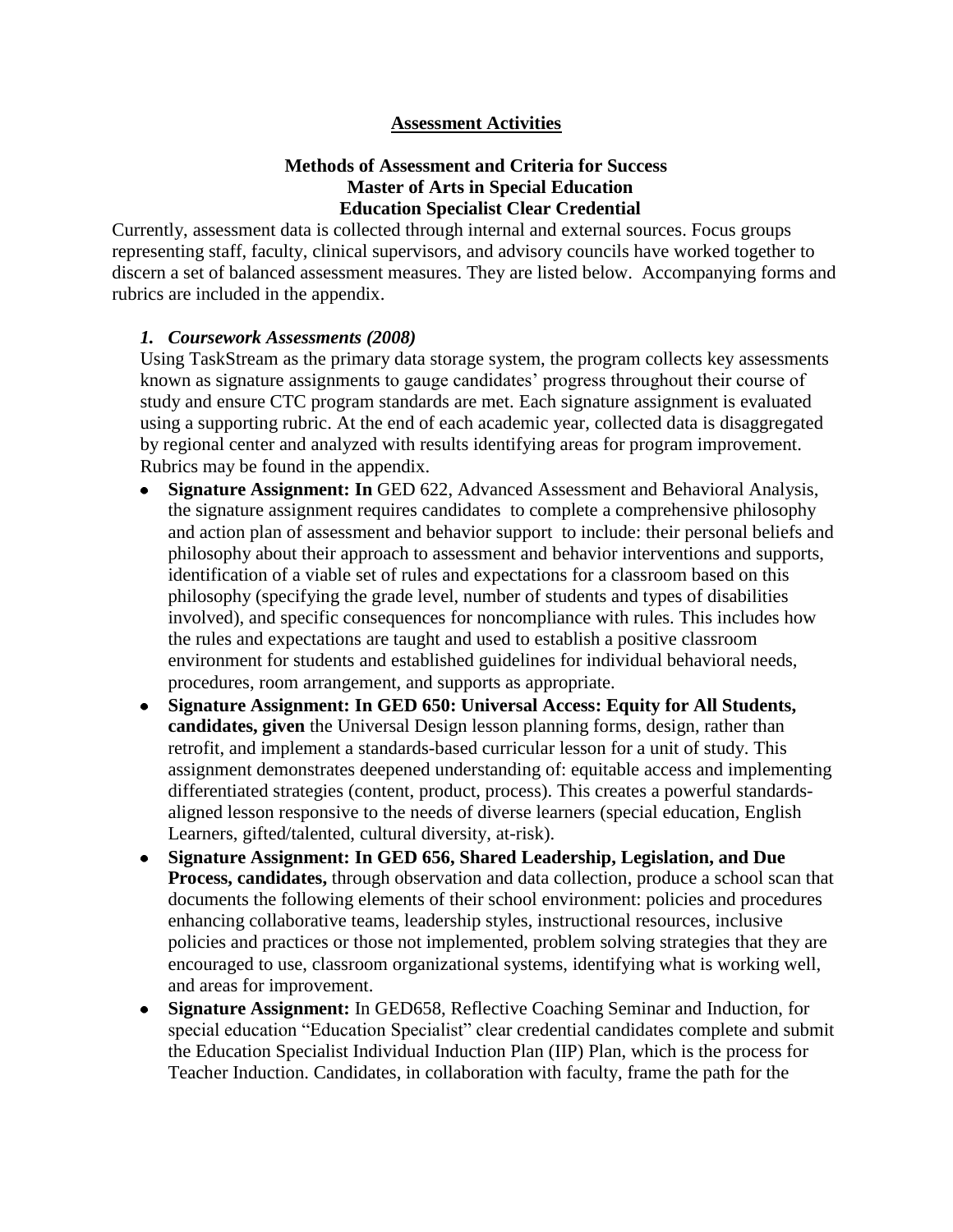#### **Assessment Activities**

#### **Methods of Assessment and Criteria for Success Master of Arts in Special Education Education Specialist Clear Credential**

Currently, assessment data is collected through internal and external sources. Focus groups representing staff, faculty, clinical supervisors, and advisory councils have worked together to discern a set of balanced assessment measures. They are listed below. Accompanying forms and rubrics are included in the appendix.

#### *1. Coursework Assessments (2008)*

Using TaskStream as the primary data storage system, the program collects key assessments known as signature assignments to gauge candidates' progress throughout their course of study and ensure CTC program standards are met. Each signature assignment is evaluated using a supporting rubric. At the end of each academic year, collected data is disaggregated by regional center and analyzed with results identifying areas for program improvement. Rubrics may be found in the appendix.

- **Signature Assignment: In** GED 622, Advanced Assessment and Behavioral Analysis,  $\bullet$ the signature assignment requires candidates to complete a comprehensive philosophy and action plan of assessment and behavior support to include: their personal beliefs and philosophy about their approach to assessment and behavior interventions and supports, identification of a viable set of rules and expectations for a classroom based on this philosophy (specifying the grade level, number of students and types of disabilities involved), and specific consequences for noncompliance with rules. This includes how the rules and expectations are taught and used to establish a positive classroom environment for students and established guidelines for individual behavioral needs, procedures, room arrangement, and supports as appropriate.
- **Signature Assignment: In GED 650: Universal Access: Equity for All Students, candidates, given** the Universal Design lesson planning forms, design, rather than retrofit, and implement a standards-based curricular lesson for a unit of study. This assignment demonstrates deepened understanding of: equitable access and implementing differentiated strategies (content, product, process). This creates a powerful standardsaligned lesson responsive to the needs of diverse learners (special education, English Learners, gifted/talented, cultural diversity, at-risk).
- **Signature Assignment: In GED 656, Shared Leadership, Legislation, and Due Process, candidates,** through observation and data collection, produce a school scan that documents the following elements of their school environment: policies and procedures enhancing collaborative teams, leadership styles, instructional resources, inclusive policies and practices or those not implemented, problem solving strategies that they are encouraged to use, classroom organizational systems, identifying what is working well, and areas for improvement.
- **Signature Assignment:** In GED658, Reflective Coaching Seminar and Induction, for special education "Education Specialist" clear credential candidates complete and submit the Education Specialist Individual Induction Plan (IIP) Plan, which is the process for Teacher Induction. Candidates, in collaboration with faculty, frame the path for the